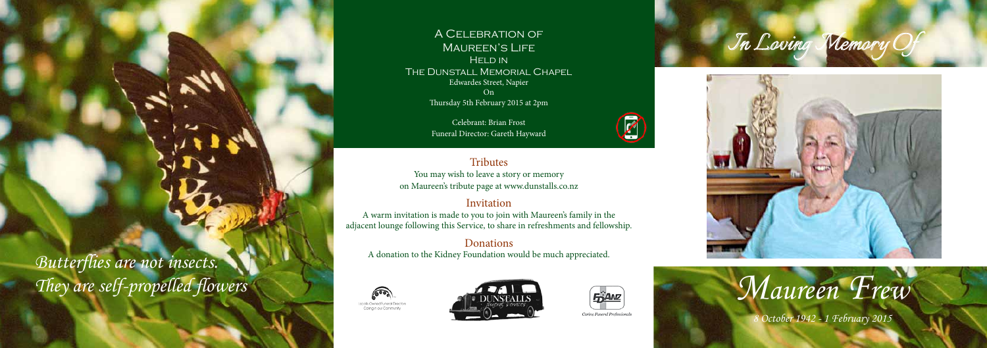





# *Maureen Frew*

A Celebration of MAUREEN'S LIFE **HELD IN** The Dunstall Memorial Chapel Edwardes Street, Napier On Thursday 5th February 2015 at 2pm

**Tributes** You may wish to leave a story or memory on Maureen's tribute page at www.dunstalls.co.nz

Celebrant: Brian Frost Funeral Director: Gareth Hayward

# Invitation

A warm invitation is made to you to join with Maureen's family in the adjacent lounge following this Service, to share in refreshments and fellowship.

# Donations

A donation to the Kidney Foundation would be much appreciated.







 $\mathcal{D}% _{M_{1},M_{2}}^{\alpha,\beta}(\theta;\mathbf{A})$ 





*8 October 1942 - 1 February 2015*

*Butterflies are not insects. They are self-propelled flowers*